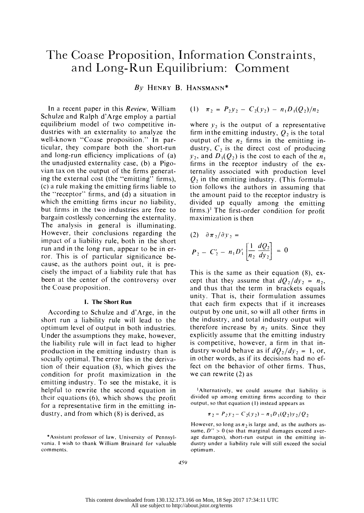## The Coase Proposition, Information Constraints, and Long-Run Equilibrium: Comment

 $By$  HENRY B. HANSMANN\*

In a recent paper in this Review, William Schulze and Ralph d'Arge employ a partial equilibrium model of two competitive in dustries with an externality to analyze the well-known "Coase proposition." In par ticular, they compare both the short-run and long-run efficiency implications of (a) the unadjusted externality case, (b) a Pigo vian tax on the output of the firms generat ing the external cost (the "emitting" firms), (c) a rule making the emitting firms liable to the "receptor" firms, and  $(d)$  a situation in which the emitting firms incur no liability, but firms in the two industries are free to bargain costlessly concerning the externality. The analysis in general is illuminating. However, their conclusions regarding the impact of a liability rule, both in the short run and in the long run, appear to be in er ror. This is of particular significance be cause, as the authors point out, it is pre cisely the impact of a liability rule that has been at the center of the controversy over the Coase proposition.

## 1. The Short Run

 According to Schulze and d'Arge, in the short run a liability rule will lead to the optimum level of output in both industries. Under the assumptions they make, however, the liability rule will in fact lead to higher production in the emitting industry than is socially optimal. The error lies in the deriva tion of their equation (8), which gives the condition for profit maximization in the emitting industry. To see the mistake, it is helpful to rewrite the second equation in their equations (6), which shows the profit for a representative firm in the emitting in dustry, and from which (8) is derived, as

(1) 
$$
\pi_2 = P_2 y_2 - C_2(y_2) - n_1 D_1(Q_2)/n_2
$$

where  $y_2$  is the output of a representative firm in the emitting industry,  $Q_2$  is the total output of the  $n<sub>2</sub>$ , firms in the emitting industry,  $C_2$  is the direct cost of producing  $y_2$ , and  $D_1(Q_2)$  is the cost to each of the  $n_1$  firms in the receptor industry of the ex ternality associated with production level  $Q_2$  in the emitting industry. (This formula tion follows the authors in assuming that the amount paid to the receptor industry is divided up equally among the emitting firms.)' The first-order condition for profit maximization is then

(2) 
$$
\partial \pi_2 / \partial y_2 =
$$
  
\n $P_2 - C'_2 - n_1 D'_1 \left[ \frac{1}{n_2} \frac{dQ_2}{dy_2} \right] = 0$ 

 This is the same as their equation (8), ex cept that they assume that  $dQ_2/dy_2 = n_2$ , and thus that the term in brackets equals unity. That is, their formulation assumes that each firm expects that if it increases output by one unit, so will all other firms in the industry, and total industry output will therefore increase by  $n_2$  units. Since they explicitly assume that the emitting industry is competitive, however, a firm in that in dustry would behave as if  $dQ_2/dy_2 = 1$ , or, in other words, as if its decisions had no ef fect on the behavior of other firms. Thus, we can rewrite (2) as

 lAlternatively, we could assume that liability is divided up among emitting firms according to their output, so that equation (1) instead appears as

$$
\pi_2 = P_2 y_2 - C_2(y_2) - n_1 D_1(Q_2) y_2/Q_2
$$

However, so long as  $n_2$  is large and, as the authors assume,  $D'' > 0$  (so that marginal damages exceed aver age damages), short-run output in the emitting in dustry under a liability rule will still exceed the social optimum.

 <sup>\*</sup>Assistant professor of law, University of Pennsyl vania. I wish to thank William Brainard for valuable comments.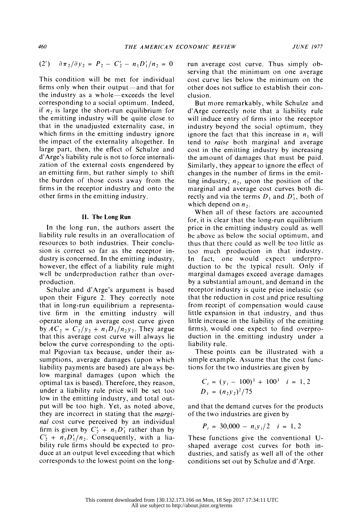$$
(2') \quad \partial \pi_2 / \partial y_2 = P_2 - C_2' - n_1 D_1'/n_2 = 0
$$

 This condition will be met for individual firms only when their output—and that for the industry as a whole-exceeds the level corresponding to a social optimum. Indeed, if  $n_2$  is large the short-run equilibrium for the emitting industry will be quite close to that in the unadjusted externality case, in which firms in the emitting industry ignore the impact of the externality altogether. In large part, then, the effect of Schulze and d'Arge's liability rule is not to force internali zation of the external costs engendered by an emitting firm, but rather simply to shift the burden of those costs away from the firms in the receptor industry and onto the other firms in the emitting industry.

## II. The Long Run

 In the long run, the authors assert the liability rule results in an overallocation of resources to both industries. Their conclu sion is correct so far as the receptor in dustry is concerned. In the emitting industry, however, the effect of a liability rule might well be underproduction rather than over production.

 Schulze and d'Arge's argument is based upon their Figure 2. They correctly note that in long-run equilibrium a representa tive firm in the emitting industry will operate along an average cost curve given by  $AC_2 = C_2/y_2 + n_1 D_1/n_2 y_2$ . They argue that this average cost curve will always lie below the curve corresponding to the opti mal Pigovian tax because, under their as sumptions, average damages (upon which liability payments are based) are always be low marginal damages (upon which the optimal tax is based). Therefore, they reason, under a liability rule price will be set too low in the emitting industry, and total out put will be too high. Yet, as noted above, they are incorrect in stating that the margi nal cost curve perceived by an individual firm is given by  $C'_2 + n_1D'_1$  rather than by  $C_2' + n_1D_1'/n_2$ . Consequently, with a lia bility rule firms should be expected to pro duce at an output level exceeding that which corresponds to the lowest point on the long-

 run average cost curve. Thus simply ob serving that the minimum on one average cost curve lies below the minimum on the other does not suffice to establish their con clusion.

 But more remarkably, while Schulze and d'Arge correctly note that a liability rule will induce entry of firms into the receptor industry beyond the social optimum, they ignore the fact that this increase in  $n_1$  will tend to raise both marginal and average cost in the emitting industry by increasing the amount of damages that must be paid. Similarly, they appear to ignore the effect of changes in the number of firms in the emit ting industry,  $n_2$ , upon the position of the marginal and average cost curves both di rectly and via the terms  $D_1$  and  $D'_1$ , both of which depend on  $n_2$ .

 When all of these factors are accounted for, it is clear that the long-run equilibrium price in the emitting industry could as well be above as below the social optimum, and thus that there could as well be too little as too much production in that industry. In fact, one would expect underpro duction to be the typical result. Only if marginal damages exceed average damages by a substantial amount, and demand in the receptor industry is quite price inelastic (so that the reduction in cost and price resulting from receipt of compensation would cause little expansion in that industry, and thus little increase in the liability of the emitting firms), would one expect to find overpro duction in the emitting industry under a liability rule.

 These points can be illustrated with a simple example. Assume that the cost func tions for the two industries are given by

$$
C_i = (y_i - 100)^3 + 100^3 \quad i = 1, 2
$$
  

$$
D_1 = (n_2 y_2)^2 / 75
$$

 and that the demand curves for the products of the two industries are given by

$$
P_i = 30,000 - n_i y_i/2 \quad i = 1,2
$$

 These functions give the conventional U shaped average cost curves for both in dustries, and satisfy as well all of the other conditions set out by Schulze and d'Arge.